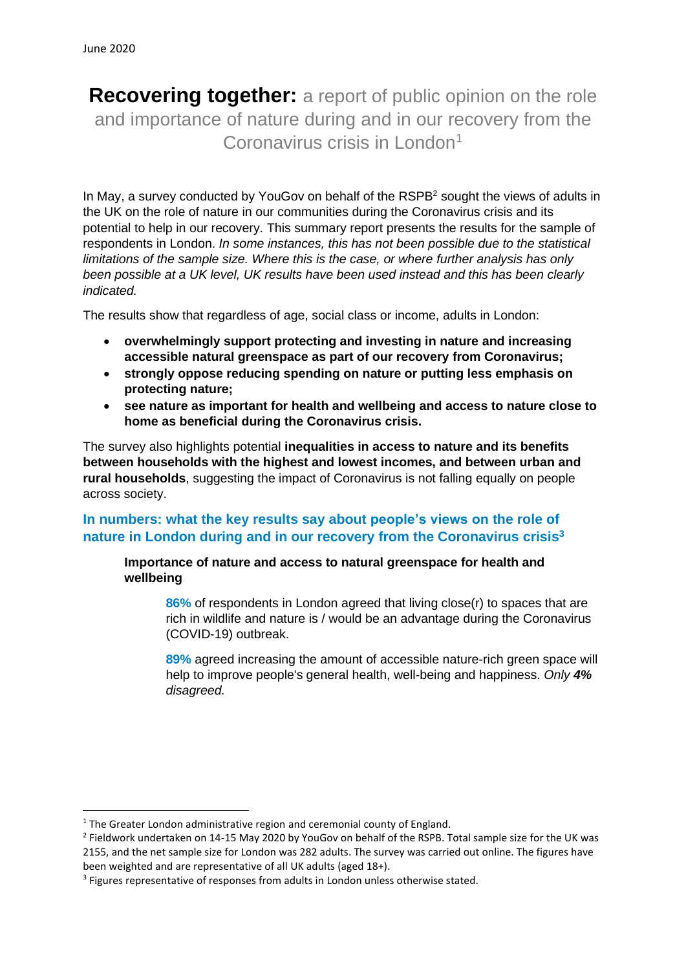**Recovering together:** a report of public opinion on the role and importance of nature during and in our recovery from the Coronavirus crisis in London<sup>1</sup>

In May, a survey conducted by YouGoy on behalf of the RSPB<sup>2</sup> sought the views of adults in the UK on the role of nature in our communities during the Coronavirus crisis and its potential to help in our recovery. This summary report presents the results for the sample of respondents in London. *In some instances, this has not been possible due to the statistical limitations of the sample size. Where this is the case, or where further analysis has only been possible at a UK level, UK results have been used instead and this has been clearly indicated.*

The results show that regardless of age, social class or income, adults in London:

- **overwhelmingly support protecting and investing in nature and increasing accessible natural greenspace as part of our recovery from Coronavirus;**
- **strongly oppose reducing spending on nature or putting less emphasis on protecting nature;**
- **see nature as important for health and wellbeing and access to nature close to home as beneficial during the Coronavirus crisis.**

The survey also highlights potential **inequalities in access to nature and its benefits between households with the highest and lowest incomes, and between urban and rural households**, suggesting the impact of Coronavirus is not falling equally on people across society.

# **In numbers: what the key results say about people's views on the role of nature in London during and in our recovery from the Coronavirus crisis 3**

**Importance of nature and access to natural greenspace for health and wellbeing**

**86%** of respondents in London agreed that living close(r) to spaces that are rich in wildlife and nature is / would be an advantage during the Coronavirus (COVID-19) outbreak.

**89%** agreed increasing the amount of accessible nature-rich green space will help to improve people's general health, well-being and happiness. *Only 4% disagreed.*

<sup>&</sup>lt;sup>1</sup> The Greater London administrative region and ceremonial county of England.

<sup>&</sup>lt;sup>2</sup> Fieldwork undertaken on 14-15 May 2020 by YouGov on behalf of the RSPB. Total sample size for the UK was 2155, and the net sample size for London was 282 adults. The survey was carried out online. The figures have been weighted and are representative of all UK adults (aged 18+).

<sup>&</sup>lt;sup>3</sup> Figures representative of responses from adults in London unless otherwise stated.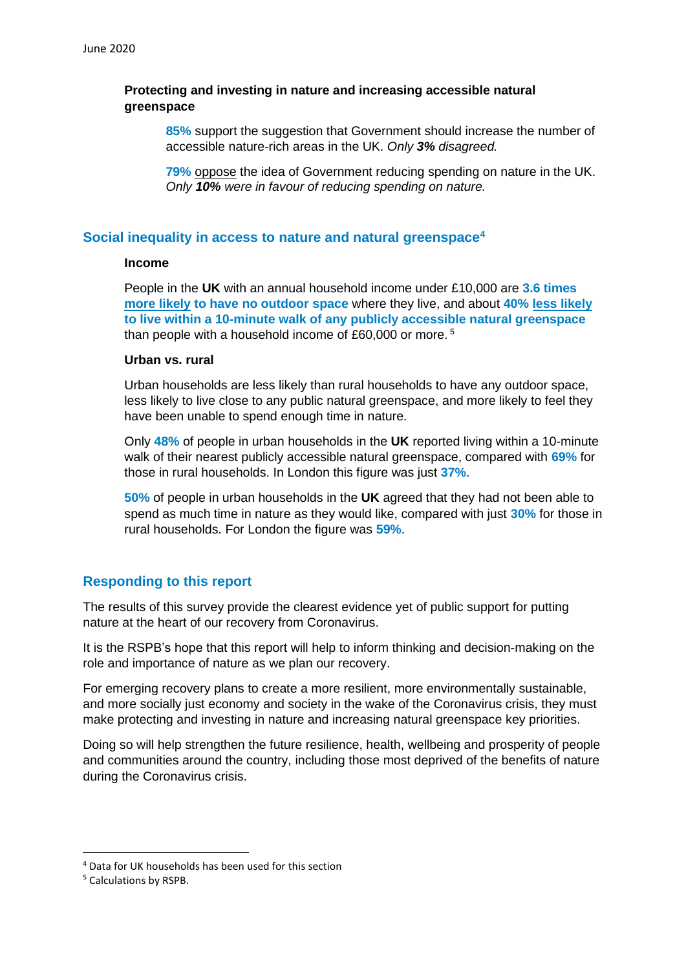### **Protecting and investing in nature and increasing accessible natural greenspace**

**85%** support the suggestion that Government should increase the number of accessible nature-rich areas in the UK. *Only 3% disagreed.*

**79%** oppose the idea of Government reducing spending on nature in the UK. *Only 10% were in favour of reducing spending on nature.*

### **Social inequality in access to nature and natural greenspace<sup>4</sup>**

#### **Income**

People in the **UK** with an annual household income under £10,000 are **3.6 times more likely to have no outdoor space** where they live, and about **40% less likely to live within a 10-minute walk of any publicly accessible natural greenspace** than people with a household income of £60,000 or more. <sup>5</sup>

### **Urban vs. rural**

Urban households are less likely than rural households to have any outdoor space, less likely to live close to any public natural greenspace, and more likely to feel they have been unable to spend enough time in nature.

Only **48%** of people in urban households in the **UK** reported living within a 10-minute walk of their nearest publicly accessible natural greenspace, compared with **69%** for those in rural households. In London this figure was just **37%**.

**50%** of people in urban households in the **UK** agreed that they had not been able to spend as much time in nature as they would like, compared with just **30%** for those in rural households. For London the figure was **59%**.

## **Responding to this report**

The results of this survey provide the clearest evidence yet of public support for putting nature at the heart of our recovery from Coronavirus.

It is the RSPB's hope that this report will help to inform thinking and decision-making on the role and importance of nature as we plan our recovery.

For emerging recovery plans to create a more resilient, more environmentally sustainable, and more socially just economy and society in the wake of the Coronavirus crisis, they must make protecting and investing in nature and increasing natural greenspace key priorities.

Doing so will help strengthen the future resilience, health, wellbeing and prosperity of people and communities around the country, including those most deprived of the benefits of nature during the Coronavirus crisis.

<sup>4</sup> Data for UK households has been used for this section

<sup>5</sup> Calculations by RSPB.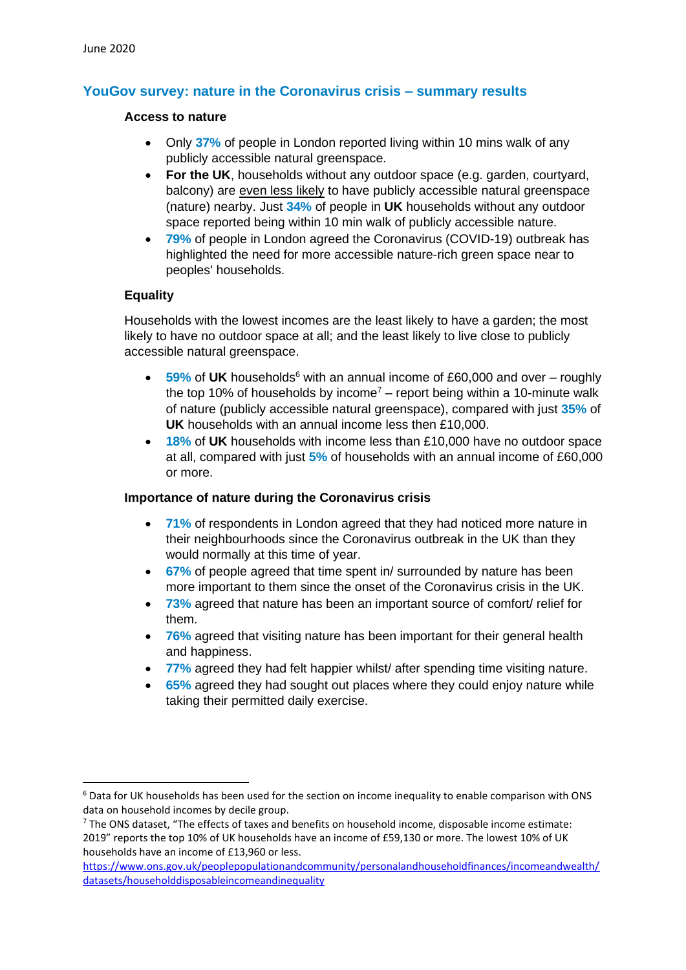# **YouGov survey: nature in the Coronavirus crisis – summary results**

#### **Access to nature**

- Only **37%** of people in London reported living within 10 mins walk of any publicly accessible natural greenspace.
- **For the UK**, households without any outdoor space (e.g. garden, courtyard, balcony) are even less likely to have publicly accessible natural greenspace (nature) nearby. Just **34%** of people in **UK** households without any outdoor space reported being within 10 min walk of publicly accessible nature.
- **79%** of people in London agreed the Coronavirus (COVID-19) outbreak has highlighted the need for more accessible nature-rich green space near to peoples' households.

### **Equality**

Households with the lowest incomes are the least likely to have a garden; the most likely to have no outdoor space at all; and the least likely to live close to publicly accessible natural greenspace.

- **59%** of **UK** households<sup>6</sup> with an annual income of £60,000 and over roughly the top 10% of households by income<sup>7</sup> – report being within a 10-minute walk of nature (publicly accessible natural greenspace), compared with just **35%** of **UK** households with an annual income less then £10,000.
- **18%** of **UK** households with income less than £10,000 have no outdoor space at all, compared with just **5%** of households with an annual income of £60,000 or more.

### **Importance of nature during the Coronavirus crisis**

- **71%** of respondents in London agreed that they had noticed more nature in their neighbourhoods since the Coronavirus outbreak in the UK than they would normally at this time of year.
- **67%** of people agreed that time spent in/ surrounded by nature has been more important to them since the onset of the Coronavirus crisis in the UK.
- **73%** agreed that nature has been an important source of comfort/ relief for them.
- **76%** agreed that visiting nature has been important for their general health and happiness.
- **77%** agreed they had felt happier whilst/ after spending time visiting nature.
- **65%** agreed they had sought out places where they could enjoy nature while taking their permitted daily exercise.

<sup>&</sup>lt;sup>6</sup> Data for UK households has been used for the section on income inequality to enable comparison with ONS data on household incomes by decile group.

 $7$  The ONS dataset, "The effects of taxes and benefits on household income, disposable income estimate: 2019" reports the top 10% of UK households have an income of £59,130 or more. The lowest 10% of UK households have an income of £13,960 or less.

[https://www.ons.gov.uk/peoplepopulationandcommunity/personalandhouseholdfinances/incomeandwealth/](https://www.ons.gov.uk/peoplepopulationandcommunity/personalandhouseholdfinances/incomeandwealth/datasets/householddisposableincomeandinequality) [datasets/householddisposableincomeandinequality](https://www.ons.gov.uk/peoplepopulationandcommunity/personalandhouseholdfinances/incomeandwealth/datasets/householddisposableincomeandinequality)